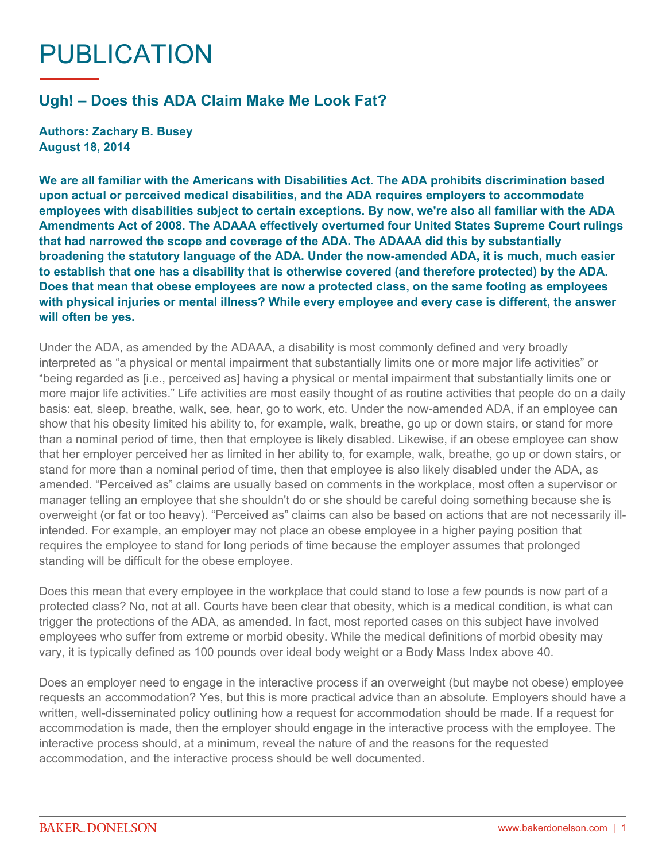## PUBLICATION

## **Ugh! – Does this ADA Claim Make Me Look Fat?**

**Authors: Zachary B. Busey August 18, 2014**

**We are all familiar with the Americans with Disabilities Act. The ADA prohibits discrimination based upon actual or perceived medical disabilities, and the ADA requires employers to accommodate employees with disabilities subject to certain exceptions. By now, we're also all familiar with the ADA Amendments Act of 2008. The ADAAA effectively overturned four United States Supreme Court rulings that had narrowed the scope and coverage of the ADA. The ADAAA did this by substantially broadening the statutory language of the ADA. Under the now-amended ADA, it is much, much easier to establish that one has a disability that is otherwise covered (and therefore protected) by the ADA. Does that mean that obese employees are now a protected class, on the same footing as employees with physical injuries or mental illness? While every employee and every case is different, the answer will often be yes.**

Under the ADA, as amended by the ADAAA, a disability is most commonly defined and very broadly interpreted as "a physical or mental impairment that substantially limits one or more major life activities" or "being regarded as [i.e., perceived as] having a physical or mental impairment that substantially limits one or more major life activities." Life activities are most easily thought of as routine activities that people do on a daily basis: eat, sleep, breathe, walk, see, hear, go to work, etc. Under the now-amended ADA, if an employee can show that his obesity limited his ability to, for example, walk, breathe, go up or down stairs, or stand for more than a nominal period of time, then that employee is likely disabled. Likewise, if an obese employee can show that her employer perceived her as limited in her ability to, for example, walk, breathe, go up or down stairs, or stand for more than a nominal period of time, then that employee is also likely disabled under the ADA, as amended. "Perceived as" claims are usually based on comments in the workplace, most often a supervisor or manager telling an employee that she shouldn't do or she should be careful doing something because she is overweight (or fat or too heavy). "Perceived as" claims can also be based on actions that are not necessarily illintended. For example, an employer may not place an obese employee in a higher paying position that requires the employee to stand for long periods of time because the employer assumes that prolonged standing will be difficult for the obese employee.

Does this mean that every employee in the workplace that could stand to lose a few pounds is now part of a protected class? No, not at all. Courts have been clear that obesity, which is a medical condition, is what can trigger the protections of the ADA, as amended. In fact, most reported cases on this subject have involved employees who suffer from extreme or morbid obesity. While the medical definitions of morbid obesity may vary, it is typically defined as 100 pounds over ideal body weight or a Body Mass Index above 40.

Does an employer need to engage in the interactive process if an overweight (but maybe not obese) employee requests an accommodation? Yes, but this is more practical advice than an absolute. Employers should have a written, well-disseminated policy outlining how a request for accommodation should be made. If a request for accommodation is made, then the employer should engage in the interactive process with the employee. The interactive process should, at a minimum, reveal the nature of and the reasons for the requested accommodation, and the interactive process should be well documented.